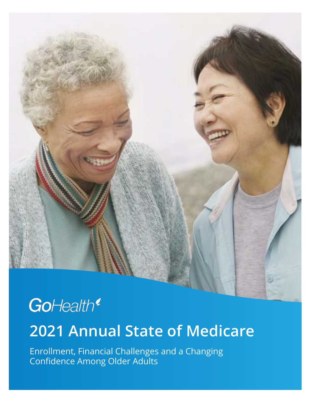

## GoHealth<sup>®</sup>

### **2021 Annual State of Medicare**

Enrollment, Financial Challenges and a Changing Confidence Among Older Adults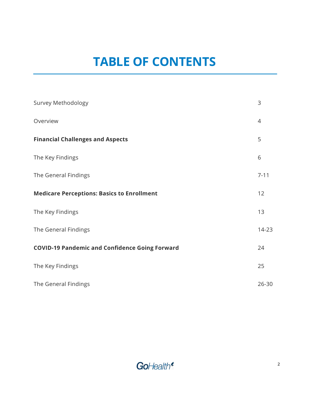### **TABLE OF CONTENTS**

| <b>Survey Methodology</b>                             | 3              |
|-------------------------------------------------------|----------------|
| Overview                                              | $\overline{4}$ |
| <b>Financial Challenges and Aspects</b>               | 5              |
| The Key Findings                                      | 6              |
| The General Findings                                  | $7 - 11$       |
| <b>Medicare Perceptions: Basics to Enrollment</b>     | 12             |
| The Key Findings                                      | 13             |
| The General Findings                                  | 14-23          |
| <b>COVID-19 Pandemic and Confidence Going Forward</b> | 24             |
| The Key Findings                                      | 25             |
| The General Findings                                  | $26 - 30$      |

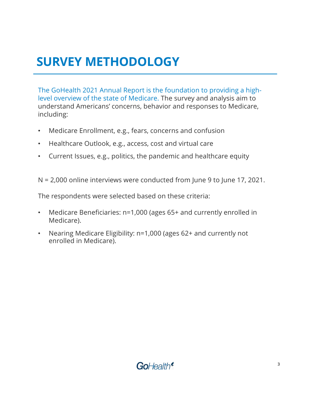### **SURVEY METHODOLOGY**

The GoHealth 2021 Annual Report is the foundation to providing a highlevel overview of the state of Medicare. The survey and analysis aim to understand Americans' concerns, behavior and responses to Medicare, including:

- Medicare Enrollment, e.g., fears, concerns and confusion
- Healthcare Outlook, e.g., access, cost and virtual care
- Current Issues, e.g., politics, the pandemic and healthcare equity

N = 2,000 online interviews were conducted from June 9 to June 17, 2021.

The respondents were selected based on these criteria:

- Medicare Beneficiaries: n=1,000 (ages 65+ and currently enrolled in Medicare).
- Nearing Medicare Eligibility: n=1,000 (ages 62+ and currently not enrolled in Medicare).

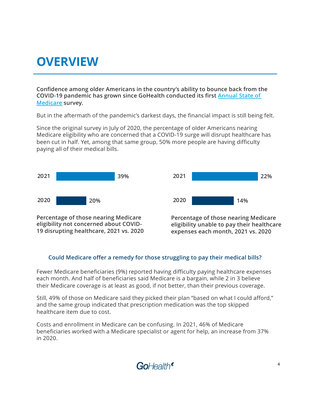### **OVERVIEW**

**Confidence among older Americans in the country's ability to bounce back from the [COVID-19 pandemic has grown since GoHealth](https://www.gohealth.com/gohealth-biannual-medicare-2020-report/) conducted its first Annual State of Medicare survey.**

But in the aftermath of the pandemic's darkest days, the financial impact is still being felt.

Since the original survey in July of 2020, the percentage of older Americans nearing Medicare eligibility who are concerned that a COVID-19 surge will disrupt healthcare has been cut in half. Yet, among that same group, 50% more people are having difficulty paying all of their medical bills.



**eligibility not concerned about COVID-19 disrupting healthcare, 2021 vs. 2020** **Percentage of those nearing Medicare eligibility unable to pay their healthcare expenses each month, 2021 vs. 2020**

#### **Could Medicare offer a remedy for those struggling to pay their medical bills?**

Fewer Medicare beneficiaries (9%) reported having difficulty paying healthcare expenses each month. And half of beneficiaries said Medicare is a bargain, while 2 in 3 believe their Medicare coverage is at least as good, if not better, than their previous coverage.

Still, 49% of those on Medicare said they picked their plan "based on what I could afford," and the same group indicated that prescription medication was the top skipped healthcare item due to cost.

Costs and enrollment in Medicare can be confusing. In 2021, 46% of Medicare beneficiaries worked with a Medicare specialist or agent for help, an increase from 37% in 2020.

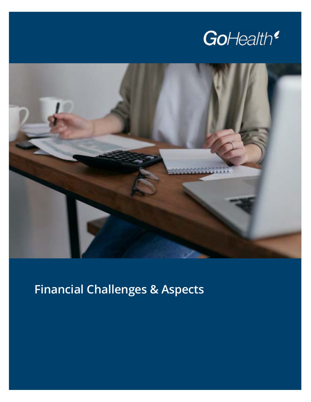



### **Financial Challenges & Aspects**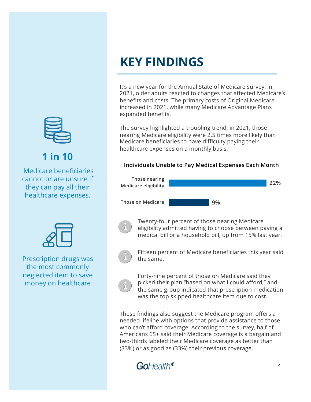

**1 in 10**

Medicare beneficiaries cannot or are unsure if they can pay all their healthcare expenses.



Prescription drugs was the most commonly neglected item to save money on healthcare

### **KEY FINDINGS**

It's a new year for the Annual State of Medicare survey. In 2021, older adults reacted to changes that affected Medicare's benefits and costs. The primary costs of Original Medicare increased in 2021, while many Medicare Advantage Plans expanded benefits.

The survey highlighted a troubling trend; in 2021, those nearing Medicare eligibility were 2.5 times more likely than Medicare beneficiaries to have difficulty paying their healthcare expenses on a monthly basis.

#### **Individuals Unable to Pay Medical Expenses Each Month**





Twenty-four percent of those nearing Medicare eligibility admitted having to choose between paying a medical bill or a household bill, up from 15% last year.



Fifteen percent of Medicare beneficiaries this year said the same.



Forty-nine percent of those on Medicare said they picked their plan "based on what I could afford," and the same group indicated that prescription medication was the top skipped healthcare item due to cost.

These findings also suggest the Medicare program offers a needed lifeline with options that provide assistance to those who can't afford coverage. According to the survey, half of Americans 65+ said their Medicare coverage is a bargain and two-thirds labeled their Medicare coverage as better than (33%) or as good as (33%) their previous coverage.

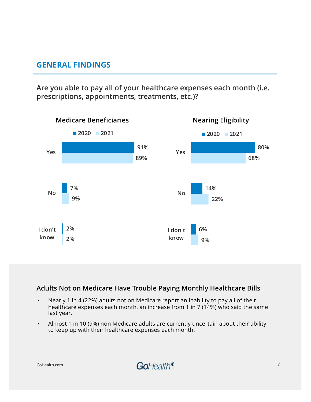**Are you able to pay all of your healthcare expenses each month (i.e. prescriptions, appointments, treatments, etc.)?** 



#### **Adults Not on Medicare Have Trouble Paying Monthly Healthcare Bills**

- Nearly 1 in 4 (22%) adults not on Medicare report an inability to pay all of their healthcare expenses each month, an increase from 1 in 7 (14%) who said the same last year.
- Almost 1 in 10 (9%) non Medicare adults are currently uncertain about their ability to keep up with their healthcare expenses each month.

**GoHealth.com**

GoHealth<sup>®</sup>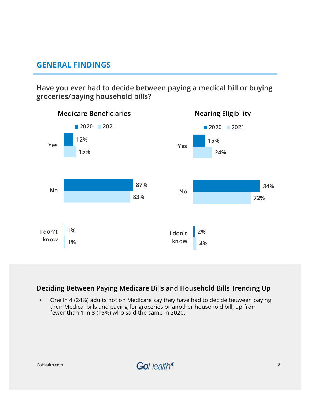**Have you ever had to decide between paying a medical bill or buying groceries/paying household bills?** 



#### **Deciding Between Paying Medicare Bills and Household Bills Trending Up**

• One in 4 (24%) adults not on Medicare say they have had to decide between paying their Medical bills and paying for groceries or another household bill, up from fewer than 1 in 8 (15%) who said the same in 2020.

**GoHealth.com**

GoHealth<sup>®</sup>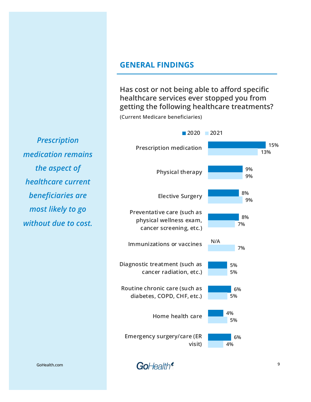**Has cost or not being able to afford specific healthcare services ever stopped you from getting the following healthcare treatments?**

**9**

**(Current Medicare beneficiaries)**



GoHealth<sup>®</sup>

*Prescription medication remains the aspect of healthcare current beneficiaries are most likely to go without due to cost.*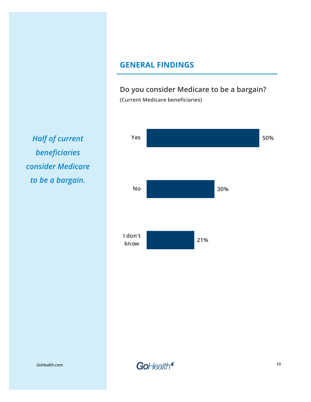**Do you consider Medicare to be a bargain? (Current Medicare beneficiaries)**



*Half of current beneficiaries consider Medicare to be a bargain.* 

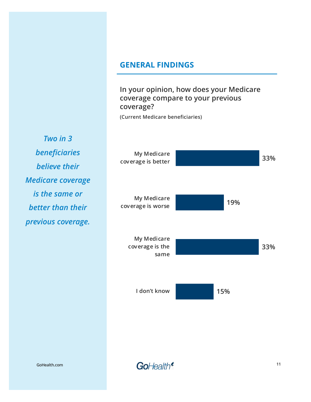**In your opinion, how does your Medicare coverage compare to your previous coverage?**

**(Current Medicare beneficiaries)**

*Two in 3 beneficiaries believe their Medicare coverage is the same or better than their previous coverage.* 



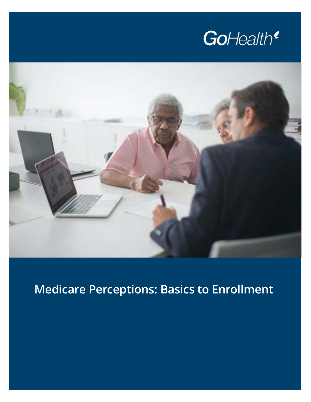



### **Medicare Perceptions: Basics to Enrollment**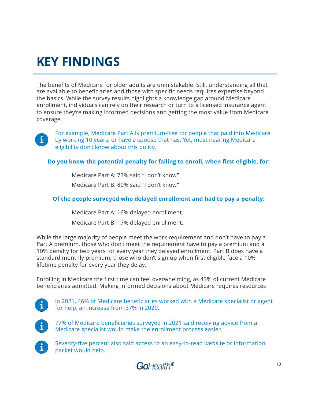### **KEY FINDINGS**

The benefits of Medicare for older adults are unmistakable. Still, understanding all that are available to beneficiaries and those with specific needs requires expertise beyond the basics. While the survey results highlights a knowledge gap around Medicare enrollment, individuals can rely on their research or turn to a licensed insurance agent to ensure they're making informed decisions and getting the most value from Medicare coverage.



For example, Medicare Part A is premium-free for people that paid into Medicare by working 10 years, or have a spouse that has. Yet, most nearing Medicare eligibility don't know about this policy.

**Do you know the potential penalty for failing to enroll, when first eligible, for:**

Medicare Part A: 73% said "I don't know" Medicare Part B: 80% said "I don't know"

#### **Of the people surveyed who delayed enrollment and had to pay a penalty:**

Medicare Part A: 16% delayed enrollment.

Medicare Part B: 17% delayed enrollment.

While the large majority of people meet the work requirement and don't have to pay a Part A premium, those who don't meet the requirement have to pay a premium and a 10% penalty for two years for every year they delayed enrollment. Part B does have a standard monthly premium; those who don't sign up when first eligible face a 10% lifetime penalty for every year they delay.

Enrolling in Medicare the first time can feel overwhelming, as 43% of current Medicare beneficiaries admitted. Making informed decisions about Medicare requires resources

 $\mathbf{i}$ 

in 2021, 46% of Medicare beneficiaries worked with a Medicare specialist or agent for help, an increase from 37% in 2020.



77% of Medicare beneficiaries surveyed in 2021 said receiving advice from a Medicare specialist would make the enrollment process easier.



Seventy-five percent also said access to an easy-to-read website or information packet would help.

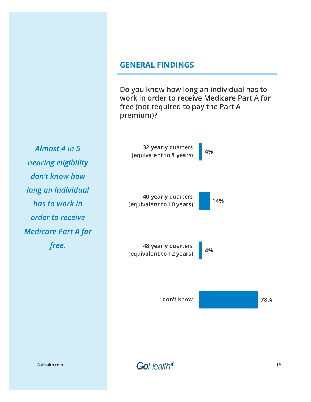**Do you know how long an individual has to work in order to receive Medicare Part A for free (not required to pay the Part A premium)?**

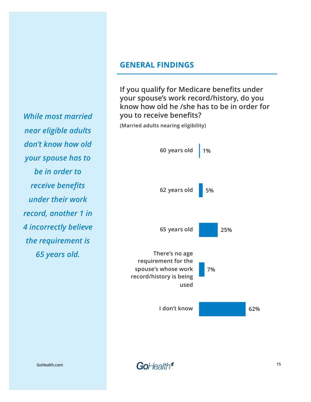**If you qualify for Medicare benefits under your spouse's work record/history, do you know how old he /she has to be in order for you to receive benefits?**

**(Married adults nearing eligibility)**



*While most married near eligible adults don't know how old your spouse has to be in order to receive benefits under their work record, another 1 in 4 incorrectly believe the requirement is 65 years old.* 

**GoHealth.com**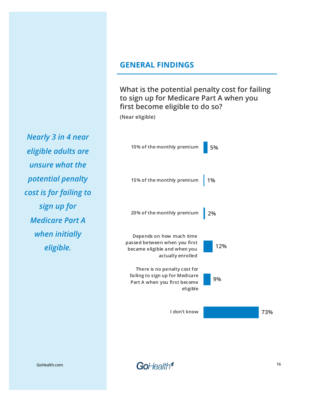**What is the potential penalty cost for failing to sign up for Medicare Part A when you first become eligible to do so?**

**(Near eligible)**



*Nearly 3 in 4 near eligible adults are unsure what the potential penalty cost is for failing to sign up for Medicare Part A when initially eligible.*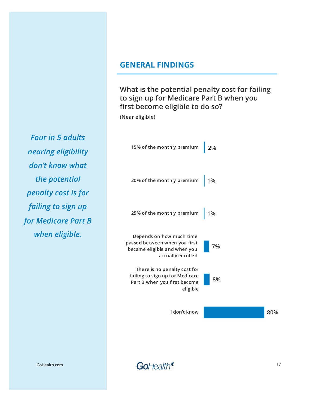**What is the potential penalty cost for failing to sign up for Medicare Part B when you first become eligible to do so?**

**(Near eligible)**



*Four in 5 adults nearing eligibility don't know what the potential penalty cost is for failing to sign up for Medicare Part B when eligible.* 

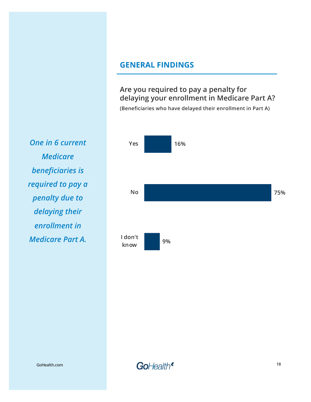**Are you required to pay a penalty for delaying your enrollment in Medicare Part A? (Beneficiaries who have delayed their enrollment in Part A)**



*One in 6 current Medicare beneficiaries is required to pay a penalty due to delaying their enrollment in Medicare Part A.* 

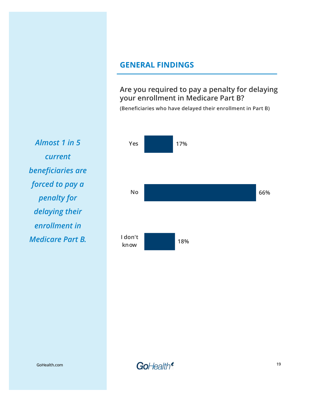**Are you required to pay a penalty for delaying your enrollment in Medicare Part B?**

**(Beneficiaries who have delayed their enrollment in Part B)**



*Almost 1 in 5 current beneficiaries are forced to pay a penalty for delaying their enrollment in Medicare Part B.* 

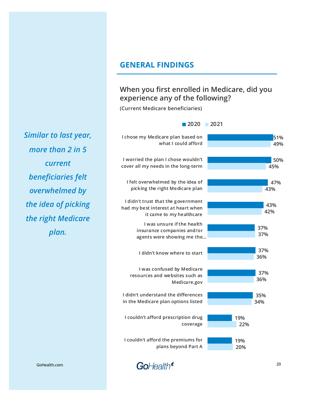#### **When you first enrolled in Medicare, did you experience any of the following?**

**(Current Medicare beneficiaries)**

#### **20 51% 50% 47% 43% 37% 37% 37% 35% 19% 19% 49% 45% 43% 42% 37% 36% 36% 34% 22% 20% I chose my Medicare plan based on what I could afford I worried the plan I chose wouldn't cover all my needs in the long-term I felt overwhelmed by the idea of picking the right Medicare plan I didn't trust that the government had my best interest at heart when it came to my healthcare I was unsure if the health insurance companies and/or agents were showing me the… I didn't know where to start I was confused by Medicare resources and websites such as Medicare.gov I didn't understand the differences in the Medicare plan options listed I couldn't afford prescription drug coverage I couldn't afford the premiums for plans beyond Part A 2020 2021**

*Similar to last year, more than 2 in 5 current beneficiaries felt overwhelmed by the idea of picking the right Medicare plan.*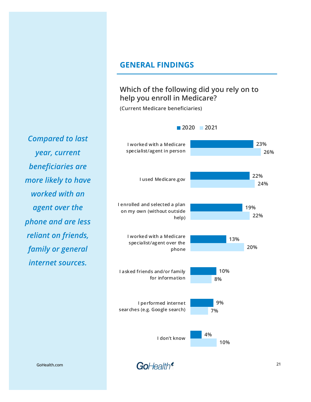#### **Which of the following did you rely on to help you enroll in Medicare?**

**2020 2021**

**(Current Medicare beneficiaries)**

**23% 22% 19% 13% 10% 9% 4% 26% 24% 22% 20% 8% 7% 10% I worked with a Medicare specialist/agent in person I used Medicare.gov I enrolled and selected a plan on my own (without outside help) I worked with a Medicare specialist/agent over the phone I asked friends and/or family for information I performed internet searches (e.g. Google search) I don't know**

*Compared to last year, current beneficiaries are more likely to have worked with an agent over the phone and are less reliant on friends, family or general internet sources.* 

**GoHealth.com**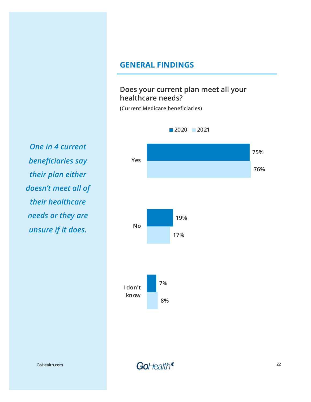#### **Does your current plan meet all your healthcare needs?**

**(Current Medicare beneficiaries)**



*One in 4 current beneficiaries say their plan either doesn't meet all of their healthcare needs or they are unsure if it does.* 

**GoHealth.com**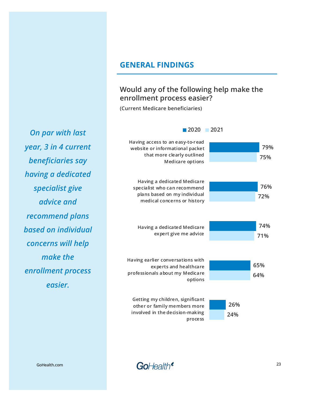#### **Would any of the following help make the enrollment process easier?**

**(Current Medicare beneficiaries)**



GoHealth<sup>®</sup>

*On par with last year, 3 in 4 current beneficiaries say having a dedicated specialist give advice and recommend plans based on individual concerns will help make the enrollment process* 

**GoHealth.com**

**23**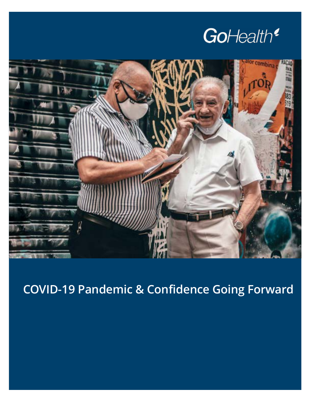



**COVID-19 Pandemic & Confidence Going Forward**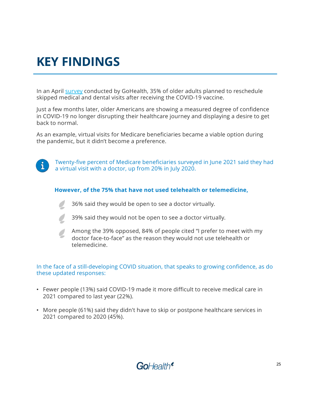### **KEY FINDINGS**

In an A[pril sur](https://www.gohealth.com/survey-covid-19-vaccine-and-social-changes-among-older-adults/)vey conducted by GoHealth, 35% of older adults planned to reschedule skipped medical and dental visits after receiving the COVID-19 vaccine.

Just a few months later, older Americans are showing a measured degree of confidence in COVID-19 no longer disrupting their healthcare journey and displaying a desire to get back to normal.

As an example, virtual visits for Medicare beneficiaries became a viable option during the pandemic, but it didn't become a preference.



Twenty-five percent of Medicare beneficiaries surveyed in June 2021 said they had a virtual visit with a doctor, up from 20% in July 2020.

#### **However, of the 75% that have not used telehealth or telemedicine,**

36% said they would be open to see a doctor virtually.

39% said they would not be open to see a doctor virtually.

Among the 39% opposed, 84% of people cited "I prefer to meet with my doctor face-to-face" as the reason they would not use telehealth or telemedicine.

#### In the face of a still-developing COVID situation, that speaks to growing confidence, as do these updated responses:

- Fewer people (13%) said COVID-19 made it more difficult to receive medical care in 2021 compared to last year (22%).
- More people (61%) said they didn't have to skip or postpone healthcare services in 2021 compared to 2020 (45%).

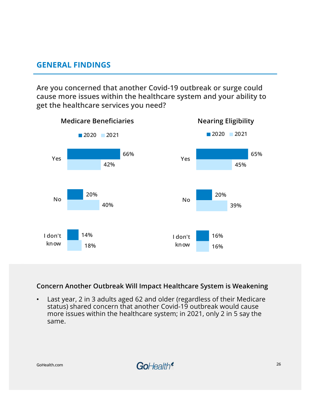**Are you concerned that another Covid-19 outbreak or surge could cause more issues within the healthcare system and your ability to get the healthcare services you need?** 



#### **Concern Another Outbreak Will Impact Healthcare System is Weakening**

• Last year, 2 in 3 adults aged 62 and older (regardless of their Medicare status) shared concern that another Covid-19 outbreak would cause more issues within the healthcare system; in 2021, only 2 in 5 say the same.

**GoHealth.com**

GoHealth<sup>®</sup>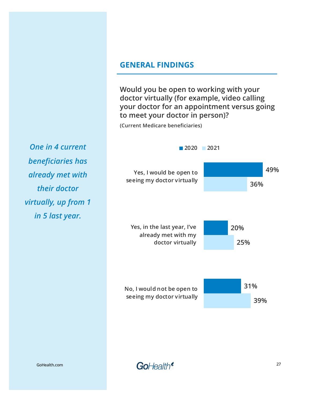**Would you be open to working with your doctor virtually (for example, video calling your doctor for an appointment versus going to meet your doctor in person)?** 

**(Current Medicare beneficiaries)**

*One in 4 current beneficiaries has already met with their doctor virtually, up from 1 in 5 last year.* 



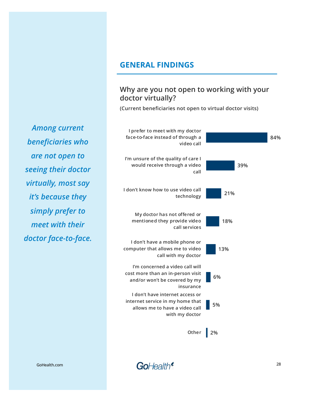#### **Why are you not open to working with your doctor virtually?**

**(Current beneficiaries not open to virtual doctor visits)**



*Among current beneficiaries who are not open to seeing their doctor virtually, most say it's because they simply prefer to meet with their doctor face-to-face.* 

**GoHealth.com**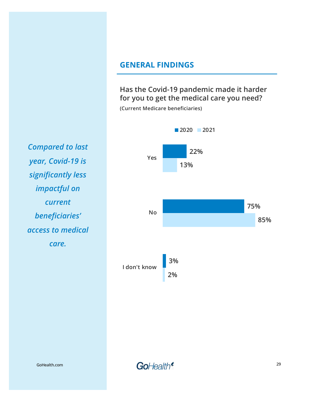**Has the Covid-19 pandemic made it harder for you to get the medical care you need?**

**(Current Medicare beneficiaries)**



*Compared to last year, Covid-19 is significantly less impactful on current beneficiaries' access to medical care.* 

**GoHealth.com**

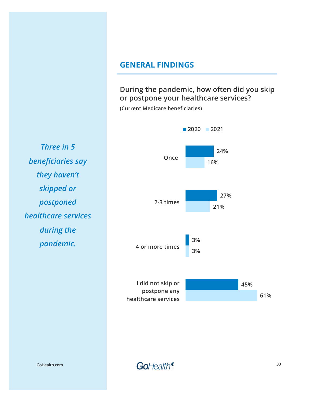**During the pandemic, how often did you skip or postpone your healthcare services?** 

**(Current Medicare beneficiaries)**



*Three in 5 beneficiaries say they haven't skipped or postponed healthcare services during the pandemic.* 

**GoHealth.com**